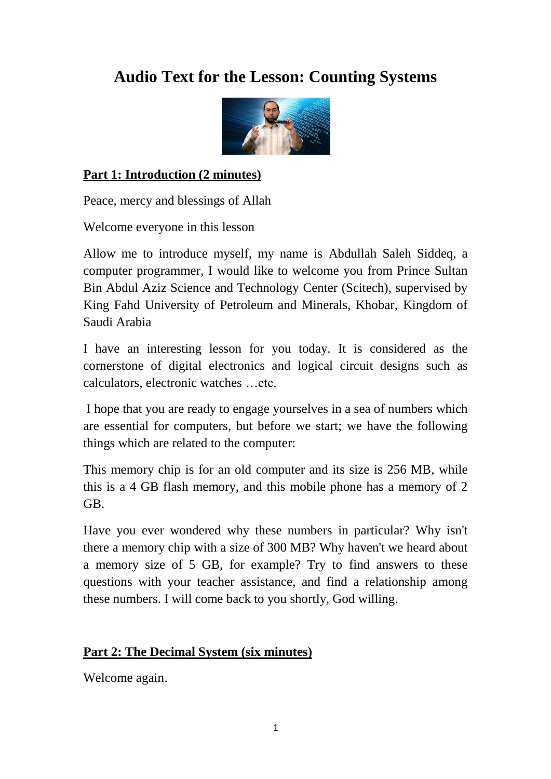# **Audio Text for the Lesson: Counting Systems**



### **Part 1: Introduction (2 minutes)**

Peace, mercy and blessings of Allah

Welcome everyone in this lesson

Allow me to introduce myself, my name is Abdullah Saleh Siddeq, a computer programmer, I would like to welcome you from Prince Sultan Bin Abdul Aziz Science and Technology Center (Scitech), supervised by King Fahd University of Petroleum and Minerals, Khobar, Kingdom of Saudi Arabia

I have an interesting lesson for you today. It is considered as the cornerstone of digital electronics and logical circuit designs such as calculators, electronic watches …etc.

I hope that you are ready to engage yourselves in a sea of numbers which are essential for computers, but before we start; we have the following things which are related to the computer:

This memory chip is for an old computer and its size is 256 MB, while this is a 4 GB flash memory, and this mobile phone has a memory of 2 GB.

Have you ever wondered why these numbers in particular? Why isn't there a memory chip with a size of 300 MB? Why haven't we heard about a memory size of 5 GB, for example? Try to find answers to these questions with your teacher assistance, and find a relationship among these numbers. I will come back to you shortly, God willing.

#### **Part 2: The Decimal System (six minutes)**

Welcome again.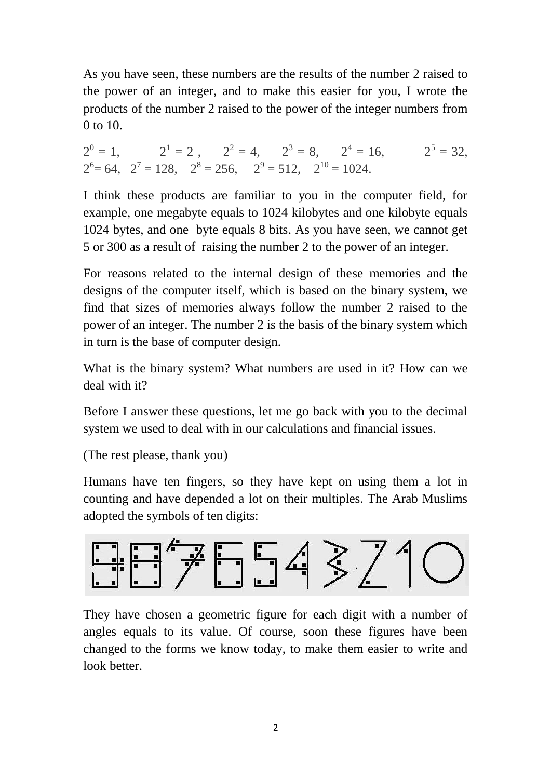As you have seen, these numbers are the results of the number 2 raised to the power of an integer, and to make this easier for you, I wrote the products of the number 2 raised to the power of the integer numbers from 0 to 10.

 $2^{0} = 1$ ,  $2^{1} = 2$ ,  $2^{2} = 4$ ,  $2^{3} = 8$ ,  $2^{4} = 16$ ,  $2^{5} = 32$ ,  $2^6$  = 64,  $2^7$  = 128,  $2^8$  = 256,  $2^9$  = 512,  $2^{10}$  = 1024.

I think these products are familiar to you in the computer field, for example, one megabyte equals to 1024 kilobytes and one kilobyte equals 1024 bytes, and one byte equals 8 bits. As you have seen, we cannot get 5 or 300 as a result of raising the number 2 to the power of an integer.

For reasons related to the internal design of these memories and the designs of the computer itself, which is based on the binary system, we find that sizes of memories always follow the number 2 raised to the power of an integer. The number 2 is the basis of the binary system which in turn is the base of computer design.

What is the binary system? What numbers are used in it? How can we deal with it?

Before I answer these questions, let me go back with you to the decimal system we used to deal with in our calculations and financial issues.

(The rest please, thank you)

Humans have ten fingers, so they have kept on using them a lot in counting and have depended a lot on their multiples. The Arab Muslims adopted the symbols of ten digits:



They have chosen a geometric figure for each digit with a number of angles equals to its value. Of course, soon these figures have been changed to the forms we know today, to make them easier to write and look better.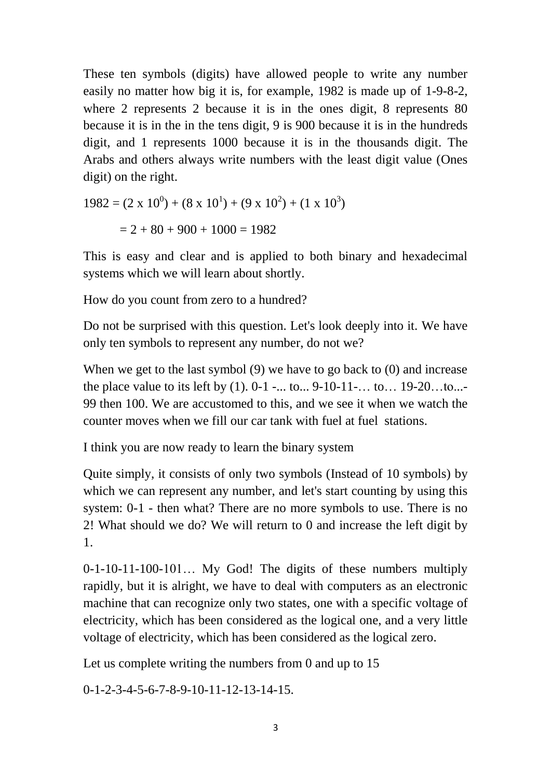These ten symbols (digits) have allowed people to write any number easily no matter how big it is, for example, 1982 is made up of 1-9-8-2, where 2 represents 2 because it is in the ones digit, 8 represents 80 because it is in the in the tens digit, 9 is 900 because it is in the hundreds digit, and 1 represents 1000 because it is in the thousands digit. The Arabs and others always write numbers with the least digit value (Ones digit) on the right.

$$
1982 = (2 \times 10^{0}) + (8 \times 10^{1}) + (9 \times 10^{2}) + (1 \times 10^{3})
$$

$$
= 2 + 80 + 900 + 1000 = 1982
$$

This is easy and clear and is applied to both binary and hexadecimal systems which we will learn about shortly.

How do you count from zero to a hundred?

Do not be surprised with this question. Let's look deeply into it. We have only ten symbols to represent any number, do not we?

When we get to the last symbol (9) we have to go back to (0) and increase the place value to its left by (1). 0-1 -... to... 9-10-11-… to… 19-20…to...- 99 then 100. We are accustomed to this, and we see it when we watch the counter moves when we fill our car tank with fuel at fuel stations.

I think you are now ready to learn the binary system

Quite simply, it consists of only two symbols (Instead of 10 symbols) by which we can represent any number, and let's start counting by using this system: 0-1 - then what? There are no more symbols to use. There is no 2! What should we do? We will return to 0 and increase the left digit by 1.

0-1-10-11-100-101… My God! The digits of these numbers multiply rapidly, but it is alright, we have to deal with computers as an electronic machine that can recognize only two states, one with a specific voltage of electricity, which has been considered as the logical one, and a very little voltage of electricity, which has been considered as the logical zero.

Let us complete writing the numbers from 0 and up to 15

0-1-2-3-4-5-6-7-8-9-10-11-12-13-14-15.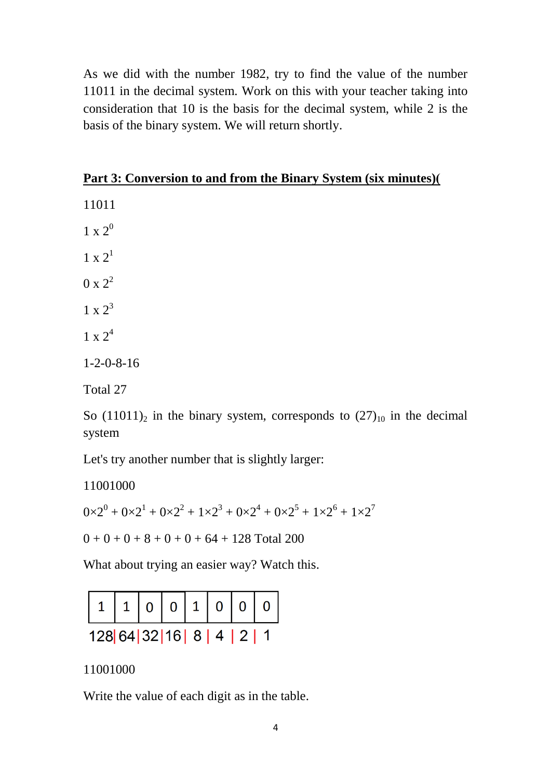As we did with the number 1982, try to find the value of the number 11011 in the decimal system. Work on this with your teacher taking into consideration that 10 is the basis for the decimal system, while 2 is the basis of the binary system. We will return shortly.

#### **Part 3: Conversion to and from the Binary System (six minutes))**

11011

 $1 \times 2^0$ 

 $1 \times 2^1$  $0 \times 2^2$ 

 $1 \times 2^3$ 

 $1 \times 2^4$ 

1-2-0-8-16

Total 27

So  $(11011)_2$  in the binary system, corresponds to  $(27)_{10}$  in the decimal system

Let's try another number that is slightly larger:

11001000  $0 \times 2^0 + 0 \times 2^1 + 0 \times 2^2 + 1 \times 2^3 + 0 \times 2^4 + 0 \times 2^5 + 1 \times 2^6 + 1 \times 2^7$  $0 + 0 + 0 + 8 + 0 + 0 + 64 + 128$  Total 200

What about trying an easier way? Watch this.



11001000

Write the value of each digit as in the table.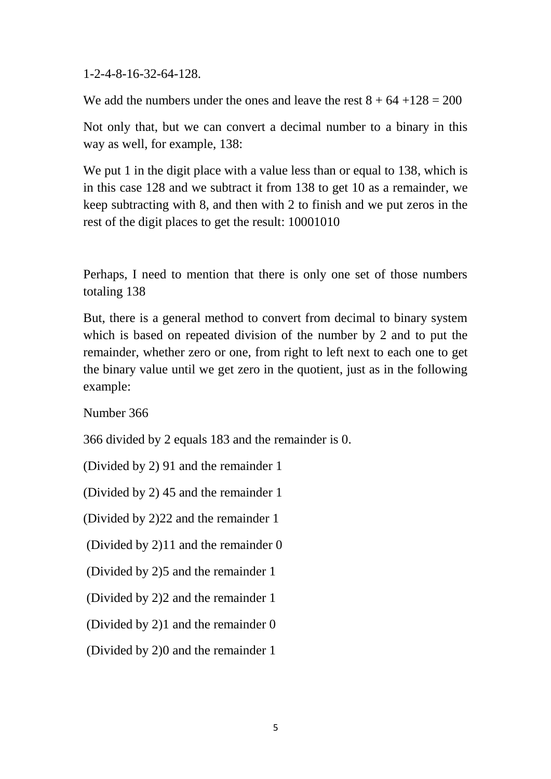1-2-4-8-16-32-64-128.

We add the numbers under the ones and leave the rest  $8 + 64 + 128 = 200$ 

Not only that, but we can convert a decimal number to a binary in this way as well, for example, 138:

We put 1 in the digit place with a value less than or equal to 138, which is in this case 128 and we subtract it from 138 to get 10 as a remainder, we keep subtracting with 8, and then with 2 to finish and we put zeros in the rest of the digit places to get the result: 10001010

Perhaps, I need to mention that there is only one set of those numbers totaling 138

But, there is a general method to convert from decimal to binary system which is based on repeated division of the number by 2 and to put the remainder, whether zero or one, from right to left next to each one to get the binary value until we get zero in the quotient, just as in the following example:

Number 366

366 divided by 2 equals 183 and the remainder is 0.

(Divided by 2) 91 and the remainder 1

(Divided by 2) 45 and the remainder 1

(Divided by 2)22 and the remainder 1

(Divided by 2)11 and the remainder 0

(Divided by 2)5 and the remainder 1

(Divided by 2)2 and the remainder 1

(Divided by 2)1 and the remainder 0

(Divided by 2)0 and the remainder 1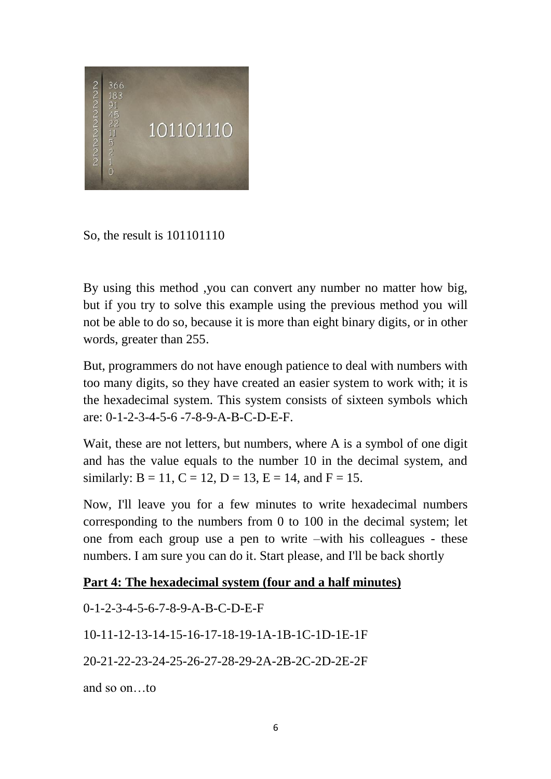

So, the result is 101101110

By using this method ,you can convert any number no matter how big, but if you try to solve this example using the previous method you will not be able to do so, because it is more than eight binary digits, or in other words, greater than 255.

But, programmers do not have enough patience to deal with numbers with too many digits, so they have created an easier system to work with; it is the hexadecimal system. This system consists of sixteen symbols which are: 0-1-2-3-4-5-6 -7-8-9-A-B-C-D-E-F.

Wait, these are not letters, but numbers, where A is a symbol of one digit and has the value equals to the number 10 in the decimal system, and similarly:  $B = 11$ ,  $C = 12$ ,  $D = 13$ ,  $E = 14$ , and  $F = 15$ .

Now, I'll leave you for a few minutes to write hexadecimal numbers corresponding to the numbers from 0 to 100 in the decimal system; let one from each group use a pen to write –with his colleagues - these numbers. I am sure you can do it. Start please, and I'll be back shortly

#### **Part 4: The hexadecimal system (four and a half minutes)**

0-1-2-3-4-5-6-7-8-9-A-B-C-D-E-F 10-11-12-13-14-15-16-17-18-19-1A-1B-1C-1D-1E-1F 20-21-22-23-24-25-26-27-28-29-2A-2B-2C-2D-2E-2F and so on…to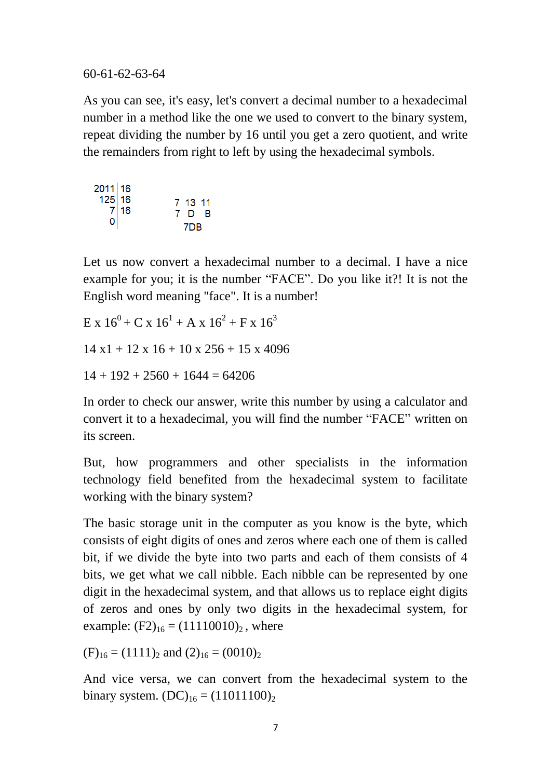60-61-62-63-64

As you can see, it's easy, let's convert a decimal number to a hexadecimal number in a method like the one we used to convert to the binary system, repeat dividing the number by 16 until you get a zero quotient, and write the remainders from right to left by using the hexadecimal symbols.

 $2011$  16  $125|16$ 7 13 11<br>7 D B  $\begin{bmatrix} 7 \\ 0 \end{bmatrix}$  16 7DR

Let us now convert a hexadecimal number to a decimal. I have a nice example for you; it is the number "FACE". Do you like it?! It is not the English word meaning "face". It is a number!

 $E \times 16^{0} + C \times 16^{1} + A \times 16^{2} + F \times 16^{3}$  $14 \times 1 + 12 \times 16 + 10 \times 256 + 15 \times 4096$ 

 $14 + 192 + 2560 + 1644 = 64206$ 

In order to check our answer, write this number by using a calculator and convert it to a hexadecimal, you will find the number "FACE" written on its screen.

But, how programmers and other specialists in the information technology field benefited from the hexadecimal system to facilitate working with the binary system?

The basic storage unit in the computer as you know is the byte, which consists of eight digits of ones and zeros where each one of them is called bit, if we divide the byte into two parts and each of them consists of 4 bits, we get what we call nibble. Each nibble can be represented by one digit in the hexadecimal system, and that allows us to replace eight digits of zeros and ones by only two digits in the hexadecimal system, for example:  $(F2)_{16} = (11110010)_2$ , where

 $(F)_{16} = (1111)_2$  and  $(2)_{16} = (0010)_2$ 

And vice versa, we can convert from the hexadecimal system to the binary system.  $(DC)_{16} = (11011100)_2$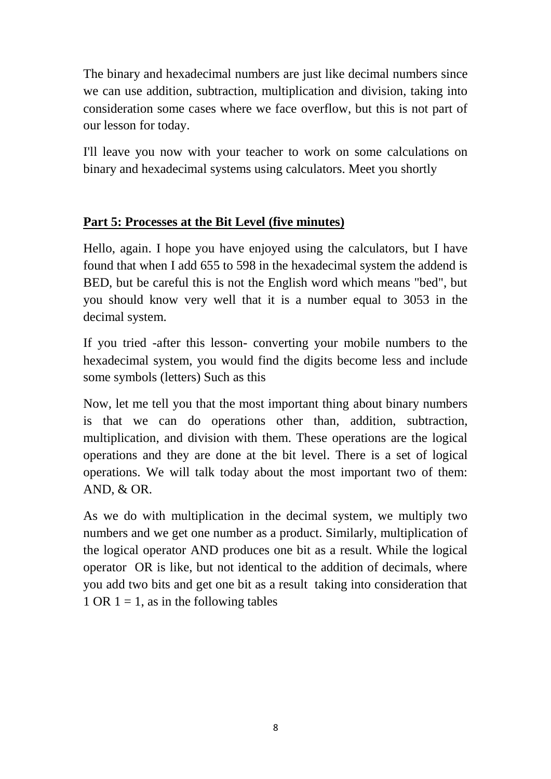The binary and hexadecimal numbers are just like decimal numbers since we can use addition, subtraction, multiplication and division, taking into consideration some cases where we face overflow, but this is not part of our lesson for today.

I'll leave you now with your teacher to work on some calculations on binary and hexadecimal systems using calculators. Meet you shortly

## **Part 5: Processes at the Bit Level (five minutes)**

Hello, again. I hope you have enjoyed using the calculators, but I have found that when I add 655 to 598 in the hexadecimal system the addend is BED, but be careful this is not the English word which means "bed", but you should know very well that it is a number equal to 3053 in the decimal system.

If you tried -after this lesson- converting your mobile numbers to the hexadecimal system, you would find the digits become less and include some symbols (letters) Such as this

Now, let me tell you that the most important thing about binary numbers is that we can do operations other than, addition, subtraction, multiplication, and division with them. These operations are the logical operations and they are done at the bit level. There is a set of logical operations. We will talk today about the most important two of them: AND, & OR.

As we do with multiplication in the decimal system, we multiply two numbers and we get one number as a product. Similarly, multiplication of the logical operator AND produces one bit as a result. While the logical operator OR is like, but not identical to the addition of decimals, where you add two bits and get one bit as a result taking into consideration that 1 OR  $1 = 1$ , as in the following tables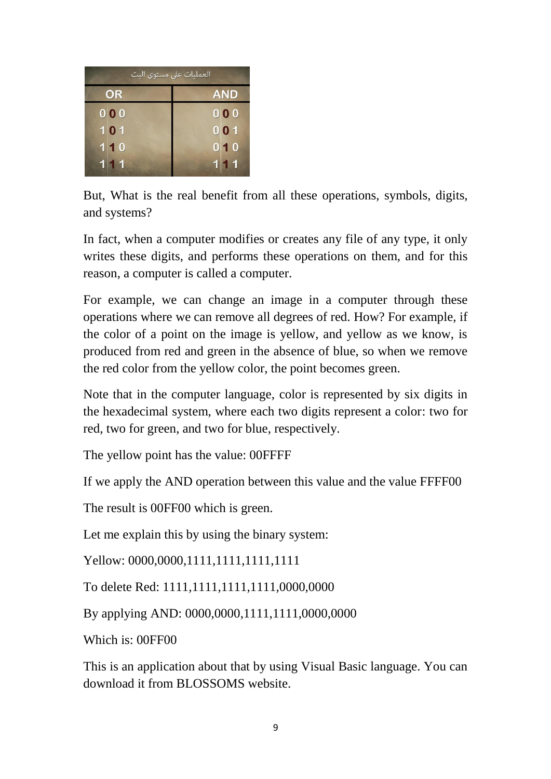| العمليات على مستوى البت |      |                       |  |
|-------------------------|------|-----------------------|--|
| OR                      |      | <b>AND</b>            |  |
|                         | 0 00 | 000                   |  |
|                         | 101  | $0$ <sub>0</sub> $1$  |  |
|                         | 110  | 010                   |  |
|                         | 111  | 11<br>$\vert 1 \vert$ |  |

But, What is the real benefit from all these operations, symbols, digits, and systems?

In fact, when a computer modifies or creates any file of any type, it only writes these digits, and performs these operations on them, and for this reason, a computer is called a computer.

For example, we can change an image in a computer through these operations where we can remove all degrees of red. How? For example, if the color of a point on the image is yellow, and yellow as we know, is produced from red and green in the absence of blue, so when we remove the red color from the yellow color, the point becomes green.

Note that in the computer language, color is represented by six digits in the hexadecimal system, where each two digits represent a color: two for red, two for green, and two for blue, respectively.

The yellow point has the value: 00FFFF

If we apply the AND operation between this value and the value FFFF00

The result is 00FF00 which is green.

Let me explain this by using the binary system:

Yellow: 0000,0000,1111,1111,1111,1111

To delete Red: 1111,1111,1111,1111,0000,0000

By applying AND: 0000,0000,1111,1111,0000,0000

Which is: 00FF00

This is an application about that by using Visual Basic language. You can download it from BLOSSOMS website.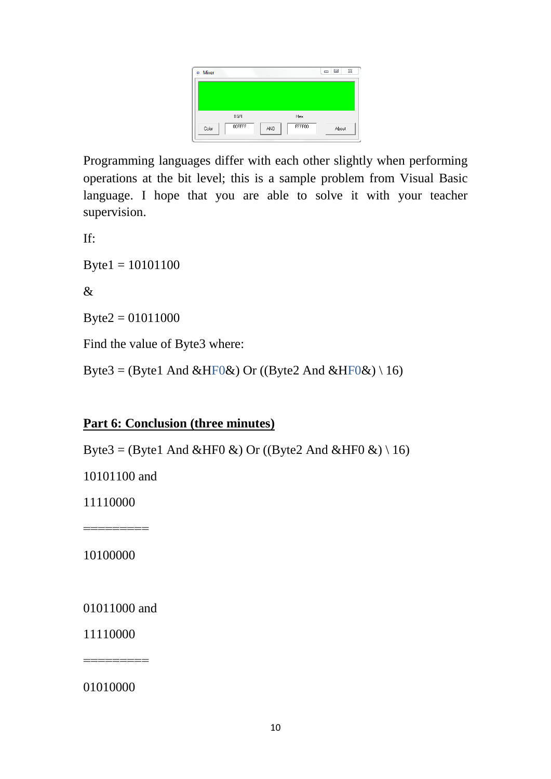| ※ Mixer         |               | 53<br>$\qquad \qquad \Box$<br>$\Box$ |
|-----------------|---------------|--------------------------------------|
|                 |               |                                      |
| <b>BGR</b>      | Hex           |                                      |
| 00FFFF<br>Color | FFFF00<br>AND | About                                |

Programming languages differ with each other slightly when performing operations at the bit level; this is a sample problem from Visual Basic language. I hope that you are able to solve it with your teacher supervision.

If:

 $Byte1 = 10101100$ 

 $\mathcal{R}$ 

 $B$ yte $2 = 01011000$ 

Find the value of Byte3 where:

Byte3 = (Byte1 And &HF0&) Or ((Byte2 And &HF0&) \ 16)

#### **Part 6: Conclusion (three minutes)**

Byte3 = (Byte1 And &HF0 &) Or ((Byte2 And &HF0 &) \ 16)

10101100 and

11110000

10100000

=========

01011000 and

11110000

=========

01010000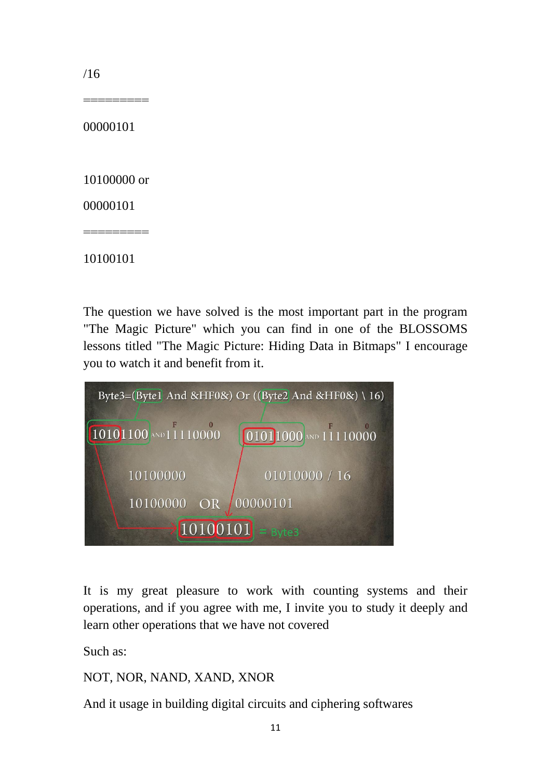/16

00000101

=========

10100000 or

=========

00000101

10100101

The question we have solved is the most important part in the program "The Magic Picture" which you can find in one of the BLOSSOMS lessons titled "The Magic Picture: Hiding Data in Bitmaps" I encourage you to watch it and benefit from it.



It is my great pleasure to work with counting systems and their operations, and if you agree with me, I invite you to study it deeply and learn other operations that we have not covered

Such as:

NOT, NOR, NAND, XAND, XNOR

And it usage in building digital circuits and ciphering softwares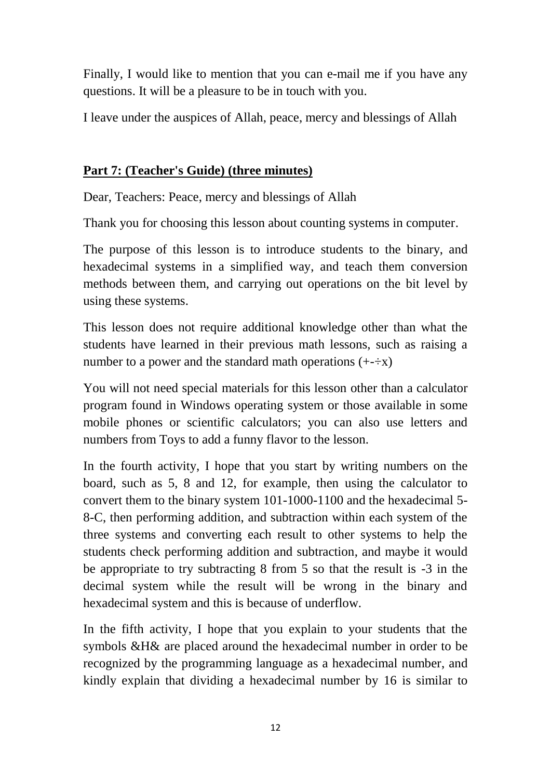Finally, I would like to mention that you can e-mail me if you have any questions. It will be a pleasure to be in touch with you.

I leave under the auspices of Allah, peace, mercy and blessings of Allah

#### **Part 7: (Teacher's Guide) (three minutes)**

Dear, Teachers: Peace, mercy and blessings of Allah

Thank you for choosing this lesson about counting systems in computer.

The purpose of this lesson is to introduce students to the binary, and hexadecimal systems in a simplified way, and teach them conversion methods between them, and carrying out operations on the bit level by using these systems.

This lesson does not require additional knowledge other than what the students have learned in their previous math lessons, such as raising a number to a power and the standard math operations  $(+\div x)$ 

You will not need special materials for this lesson other than a calculator program found in Windows operating system or those available in some mobile phones or scientific calculators; you can also use letters and numbers from Toys to add a funny flavor to the lesson.

In the fourth activity, I hope that you start by writing numbers on the board, such as 5, 8 and 12, for example, then using the calculator to convert them to the binary system 101-1000-1100 and the hexadecimal 5- 8-C, then performing addition, and subtraction within each system of the three systems and converting each result to other systems to help the students check performing addition and subtraction, and maybe it would be appropriate to try subtracting 8 from 5 so that the result is -3 in the decimal system while the result will be wrong in the binary and hexadecimal system and this is because of underflow.

In the fifth activity, I hope that you explain to your students that the symbols &H& are placed around the hexadecimal number in order to be recognized by the programming language as a hexadecimal number, and kindly explain that dividing a hexadecimal number by 16 is similar to